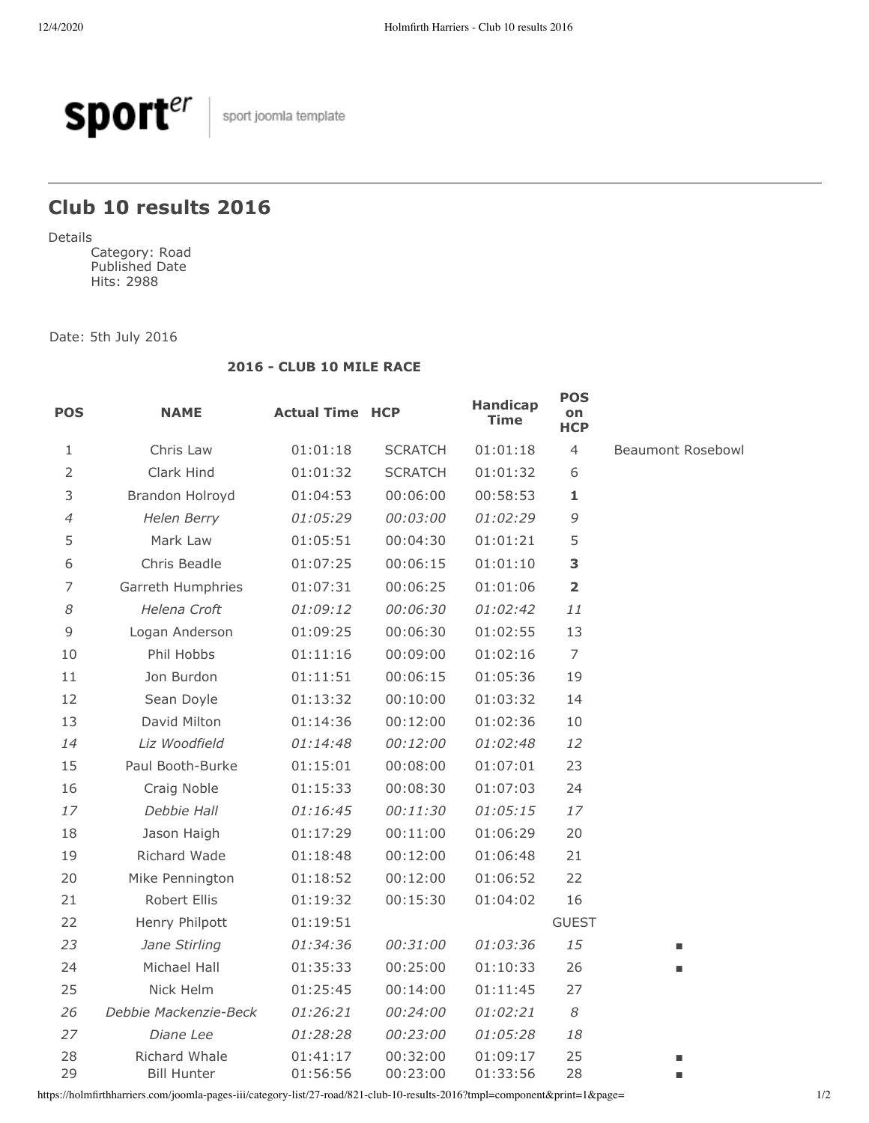

 $\Big|$  sport joomla template

## **Club 10 results 2016**

Details

Category: Road Published Date Hits: 2988

Date: 5th July 2016

## **2016 - CLUB 10 MILE RACE**

| <b>POS</b>     | <b>NAME</b>                         | <b>Actual Time HCP</b> |                      | <b>Handicap</b><br><b>Time</b> | <b>POS</b><br>on<br><b>HCP</b> |                   |
|----------------|-------------------------------------|------------------------|----------------------|--------------------------------|--------------------------------|-------------------|
| 1              | Chris Law                           | 01:01:18               | <b>SCRATCH</b>       | 01:01:18                       | $\overline{4}$                 | Beaumont Rosebowl |
| $\overline{2}$ | Clark Hind                          | 01:01:32               | <b>SCRATCH</b>       | 01:01:32                       | 6                              |                   |
| 3              | Brandon Holroyd                     | 01:04:53               | 00:06:00             | 00:58:53                       | 1                              |                   |
| $\overline{4}$ | Helen Berry                         | 01:05:29               | 00:03:00             | 01:02:29                       | 9                              |                   |
| 5              | Mark Law                            | 01:05:51               | 00:04:30             | 01:01:21                       | 5                              |                   |
| 6              | Chris Beadle                        | 01:07:25               | 00:06:15             | 01:01:10                       | 3                              |                   |
| 7              | Garreth Humphries                   | 01:07:31               | 00:06:25             | 01:01:06                       | $\overline{\mathbf{2}}$        |                   |
| 8              | Helena Croft                        | 01:09:12               | 00:06:30             | 01:02:42                       | 11                             |                   |
| 9              | Logan Anderson                      | 01:09:25               | 00:06:30             | 01:02:55                       | 13                             |                   |
| 10             | Phil Hobbs                          | 01:11:16               | 00:09:00             | 01:02:16                       | $\overline{7}$                 |                   |
| 11             | Jon Burdon                          | 01:11:51               | 00:06:15             | 01:05:36                       | 19                             |                   |
| 12             | Sean Doyle                          | 01:13:32               | 00:10:00             | 01:03:32                       | 14                             |                   |
| 13             | David Milton                        | 01:14:36               | 00:12:00             | 01:02:36                       | 10                             |                   |
| 14             | Liz Woodfield                       | 01:14:48               | 00:12:00             | 01:02:48                       | 12                             |                   |
| 15             | Paul Booth-Burke                    | 01:15:01               | 00:08:00             | 01:07:01                       | 23                             |                   |
| 16             | Craig Noble                         | 01:15:33               | 00:08:30             | 01:07:03                       | 24                             |                   |
| 17             | Debbie Hall                         | 01:16:45               | 00:11:30             | 01:05:15                       | 17                             |                   |
| 18             | Jason Haigh                         | 01:17:29               | 00:11:00             | 01:06:29                       | 20                             |                   |
| 19             | Richard Wade                        | 01:18:48               | 00:12:00             | 01:06:48                       | 21                             |                   |
| 20             | Mike Pennington                     | 01:18:52               | 00:12:00             | 01:06:52                       | 22                             |                   |
| 21             | Robert Ellis                        | 01:19:32               | 00:15:30             | 01:04:02                       | 16                             |                   |
| 22             | Henry Philpott                      | 01:19:51               |                      |                                | <b>GUEST</b>                   |                   |
| 23             | Jane Stirling                       | 01:34:36               | 00:31:00             | 01:03:36                       | 15                             | ٠                 |
| 24             | Michael Hall                        | 01:35:33               | 00:25:00             | 01:10:33                       | 26                             | ٠                 |
| 25             | Nick Helm                           | 01:25:45               | 00:14:00             | 01:11:45                       | 27                             |                   |
| 26             | Debbie Mackenzie-Beck               | 01:26:21               | 00:24:00             | 01:02:21                       | $\boldsymbol{\mathcal{S}}$     |                   |
| 27             | Diane Lee                           | 01:28:28               | 00:23:00             | 01:05:28                       | 18                             |                   |
| 28<br>29       | Richard Whale<br><b>Bill Hunter</b> | 01:41:17<br>01:56:56   | 00:32:00<br>00:23:00 | 01:09:17<br>01:33:56           | 25<br>28                       | п<br>п            |

https://holmfirthharriers.com/joomla-pages-iii/category-list/27-road/821-club-10-results-2016?tmpl=component&print=1&page= 1/2